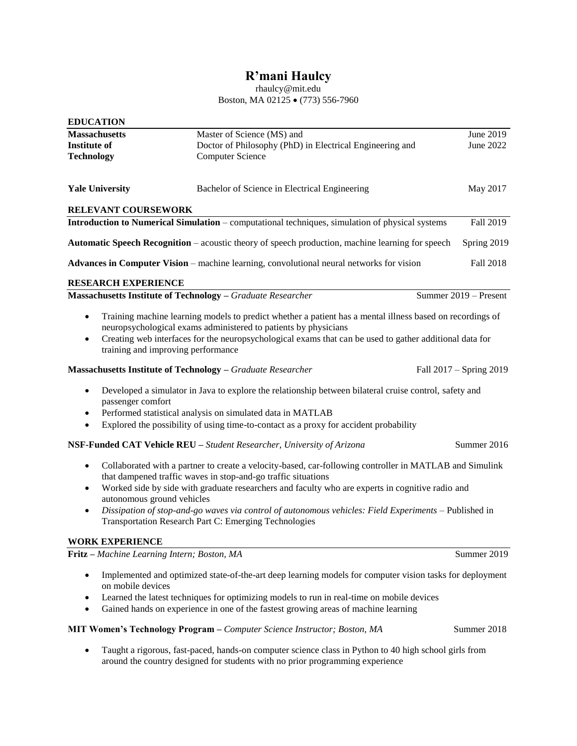# **R'mani Haulcy**

rhaulcy@mit.edu Boston, MA 02125 • (773) 556-7960

| <b>EDUCATION</b>                                                   |                                                                                                                                                                                                                                                                                         |                         |
|--------------------------------------------------------------------|-----------------------------------------------------------------------------------------------------------------------------------------------------------------------------------------------------------------------------------------------------------------------------------------|-------------------------|
| <b>Massachusetts</b>                                               | Master of Science (MS) and                                                                                                                                                                                                                                                              | June 2019               |
| <b>Institute of</b>                                                | Doctor of Philosophy (PhD) in Electrical Engineering and                                                                                                                                                                                                                                | June 2022               |
| <b>Technology</b>                                                  | <b>Computer Science</b>                                                                                                                                                                                                                                                                 |                         |
| <b>Yale University</b>                                             | Bachelor of Science in Electrical Engineering                                                                                                                                                                                                                                           | May 2017                |
| RELEVANT COURSEWORK                                                |                                                                                                                                                                                                                                                                                         |                         |
|                                                                    | <b>Introduction to Numerical Simulation – computational techniques, simulation of physical systems</b>                                                                                                                                                                                  | Fall 2019               |
|                                                                    | Automatic Speech Recognition - acoustic theory of speech production, machine learning for speech                                                                                                                                                                                        | Spring 2019             |
|                                                                    | <b>Advances in Computer Vision</b> – machine learning, convolutional neural networks for vision                                                                                                                                                                                         | Fall 2018               |
| <b>RESEARCH EXPERIENCE</b>                                         |                                                                                                                                                                                                                                                                                         |                         |
| <b>Massachusetts Institute of Technology</b> - Graduate Researcher |                                                                                                                                                                                                                                                                                         | Summer 2019 – Present   |
| $\bullet$<br>$\bullet$<br>training and improving performance       | Training machine learning models to predict whether a patient has a mental illness based on recordings of<br>neuropsychological exams administered to patients by physicians<br>Creating web interfaces for the neuropsychological exams that can be used to gather additional data for |                         |
| <b>Massachusetts Institute of Technology</b> - Graduate Researcher |                                                                                                                                                                                                                                                                                         | Fall 2017 – Spring 2019 |
| $\bullet$<br>passenger comfort<br>$\bullet$<br>$\bullet$           | Developed a simulator in Java to explore the relationship between bilateral cruise control, safety and<br>Performed statistical analysis on simulated data in MATLAB<br>Explored the possibility of using time-to-contact as a proxy for accident probability                           |                         |
|                                                                    | NSF-Funded CAT Vehicle REU - Student Researcher, University of Arizona                                                                                                                                                                                                                  | Summer 2016             |
| ٠                                                                  | Collaborated with a partner to create a velocity-based, car-following controller in MATLAB and Simulink<br>that dampened traffic waves in stop-and-go traffic situations                                                                                                                |                         |
| ٠<br>autonomous ground vehicles                                    | Worked side by side with graduate researchers and faculty who are experts in cognitive radio and                                                                                                                                                                                        |                         |
| $\bullet$                                                          | Dissipation of stop-and-go waves via control of autonomous vehicles: Field Experiments - Published in<br>Transportation Research Part C: Emerging Technologies                                                                                                                          |                         |
| <b>WORK EXPERIENCE</b>                                             |                                                                                                                                                                                                                                                                                         |                         |
| Fritz - Machine Learning Intern; Boston, MA                        |                                                                                                                                                                                                                                                                                         | Summer 2019             |
| $\bullet$<br>on mobile devices                                     | Implemented and optimized state-of-the-art deep learning models for computer vision tasks for deployment                                                                                                                                                                                |                         |
| ٠                                                                  | Learned the latest techniques for optimizing models to run in real-time on mobile devices<br>Gained hands on experience in one of the fastest growing areas of machine learning                                                                                                         |                         |
|                                                                    | MIT Women's Technology Program - Computer Science Instructor; Boston, MA                                                                                                                                                                                                                | Summer 2018             |

• Taught a rigorous, fast-paced, hands-on computer science class in Python to 40 high school girls from around the country designed for students with no prior programming experience